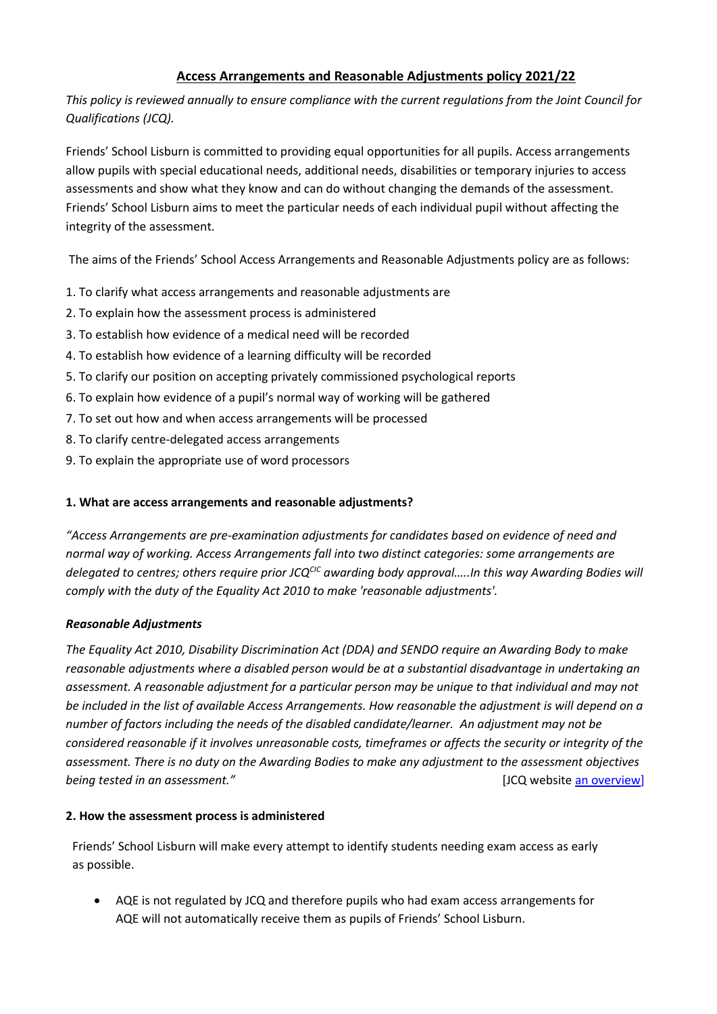# **Access Arrangements and Reasonable Adjustments policy 2021/22**

*This policy is reviewed annually to ensure compliance with the current regulations from the Joint Council for Qualifications (JCQ).*

Friends' School Lisburn is committed to providing equal opportunities for all pupils. Access arrangements allow pupils with special educational needs, additional needs, disabilities or temporary injuries to access assessments and show what they know and can do without changing the demands of the assessment. Friends' School Lisburn aims to meet the particular needs of each individual pupil without affecting the integrity of the assessment.

The aims of the Friends' School Access Arrangements and Reasonable Adjustments policy are as follows:

- 1. To clarify what access arrangements and reasonable adjustments are
- 2. To explain how the assessment process is administered
- 3. To establish how evidence of a medical need will be recorded
- 4. To establish how evidence of a learning difficulty will be recorded
- 5. To clarify our position on accepting privately commissioned psychological reports
- 6. To explain how evidence of a pupil's normal way of working will be gathered
- 7. To set out how and when access arrangements will be processed
- 8. To clarify centre-delegated access arrangements
- 9. To explain the appropriate use of word processors

# **1. What are access arrangements and reasonable adjustments?**

*"Access Arrangements are pre-examination adjustments for candidates based on evidence of need and normal way of working. Access Arrangements fall into two distinct categories: some arrangements are delegated to centres; others require prior JCQCIC awarding body approval…..In this way Awarding Bodies will comply with the duty of the Equality Act 2010 to make 'reasonable adjustments'.*

### *Reasonable Adjustments*

*The Equality Act 2010, Disability Discrimination Act (DDA) and SENDO require an Awarding Body to make reasonable adjustments where a disabled person would be at a substantial disadvantage in undertaking an assessment. A reasonable adjustment for a particular person may be unique to that individual and may not be included in the list of available Access Arrangements. How reasonable the adjustment is will depend on a number of factors including the needs of the disabled candidate/learner. An adjustment may not be considered reasonable if it involves unreasonable costs, timeframes or affects the security or integrity of the assessment. There is no duty on the Awarding Bodies to make any adjustment to the assessment objectives*  **being tested in an assessment."** The contract of the contract of the contract of the contract of the contract of the contract of the contract of the contract of the contract of the contract of the contract of the contract

### **2. How the assessment process is administered**

Friends' School Lisburn will make every attempt to identify students needing exam access as early as possible.

 AQE is not regulated by JCQ and therefore pupils who had exam access arrangements for AQE will not automatically receive them as pupils of Friends' School Lisburn.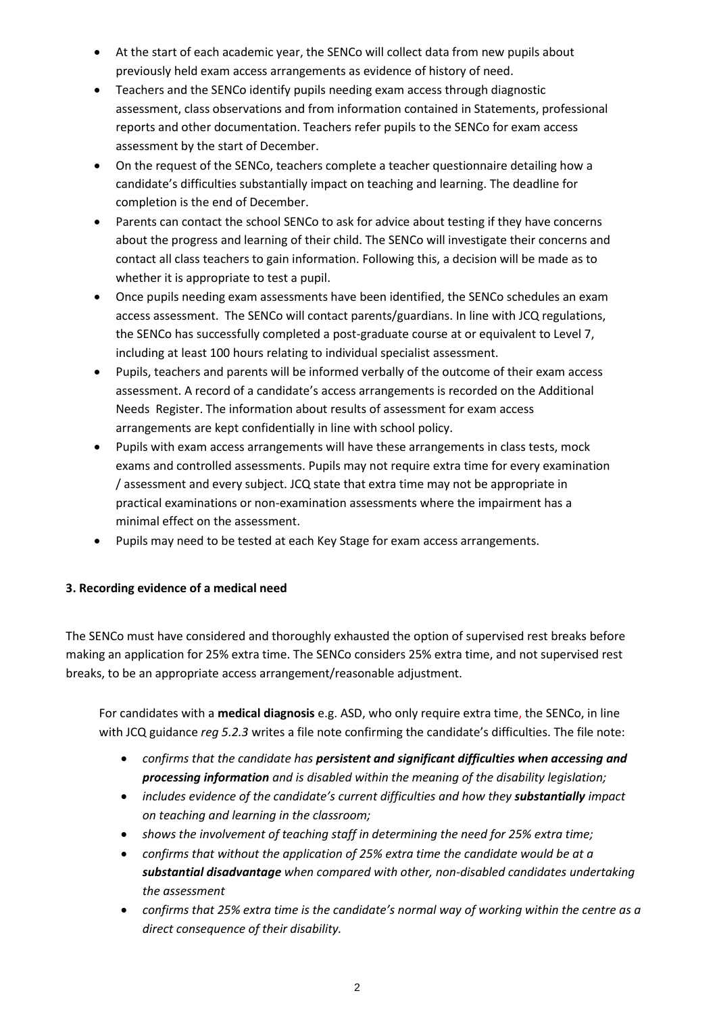- At the start of each academic year, the SENCo will collect data from new pupils about previously held exam access arrangements as evidence of history of need.
- Teachers and the SENCo identify pupils needing exam access through diagnostic assessment, class observations and from information contained in Statements, professional reports and other documentation. Teachers refer pupils to the SENCo for exam access assessment by the start of December.
- On the request of the SENCo, teachers complete a teacher questionnaire detailing how a candidate's difficulties substantially impact on teaching and learning. The deadline for completion is the end of December.
- Parents can contact the school SENCo to ask for advice about testing if they have concerns about the progress and learning of their child. The SENCo will investigate their concerns and contact all class teachers to gain information. Following this, a decision will be made as to whether it is appropriate to test a pupil.
- Once pupils needing exam assessments have been identified, the SENCo schedules an exam access assessment. The SENCo will contact parents/guardians. In line with JCQ regulations, the SENCo has successfully completed a post-graduate course at or equivalent to Level 7, including at least 100 hours relating to individual specialist assessment.
- Pupils, teachers and parents will be informed verbally of the outcome of their exam access assessment. A record of a candidate's access arrangements is recorded on the Additional Needs Register. The information about results of assessment for exam access arrangements are kept confidentially in line with school policy.
- Pupils with exam access arrangements will have these arrangements in class tests, mock exams and controlled assessments. Pupils may not require extra time for every examination / assessment and every subject. JCQ state that extra time may not be appropriate in practical examinations or non-examination assessments where the impairment has a minimal effect on the assessment.
- Pupils may need to be tested at each Key Stage for exam access arrangements.

# **3. Recording evidence of a medical need**

The SENCo must have considered and thoroughly exhausted the option of supervised rest breaks before making an application for 25% extra time. The SENCo considers 25% extra time, and not supervised rest breaks, to be an appropriate access arrangement/reasonable adjustment.

For candidates with a **medical diagnosis** e.g. ASD, who only require extra time, the SENCo, in line with JCQ guidance *reg 5.2.3* writes a file note confirming the candidate's difficulties. The file note:

- *confirms that the candidate has persistent and significant difficulties when accessing and processing information and is disabled within the meaning of the disability legislation;*
- *includes evidence of the candidate's current difficulties and how they <i>substantially* impact *on teaching and learning in the classroom;*
- *shows the involvement of teaching staff in determining the need for 25% extra time;*
- *confirms that without the application of 25% extra time the candidate would be at a substantial disadvantage when compared with other, non-disabled candidates undertaking the assessment*
- *confirms that 25% extra time is the candidate's normal way of working within the centre as a direct consequence of their disability.*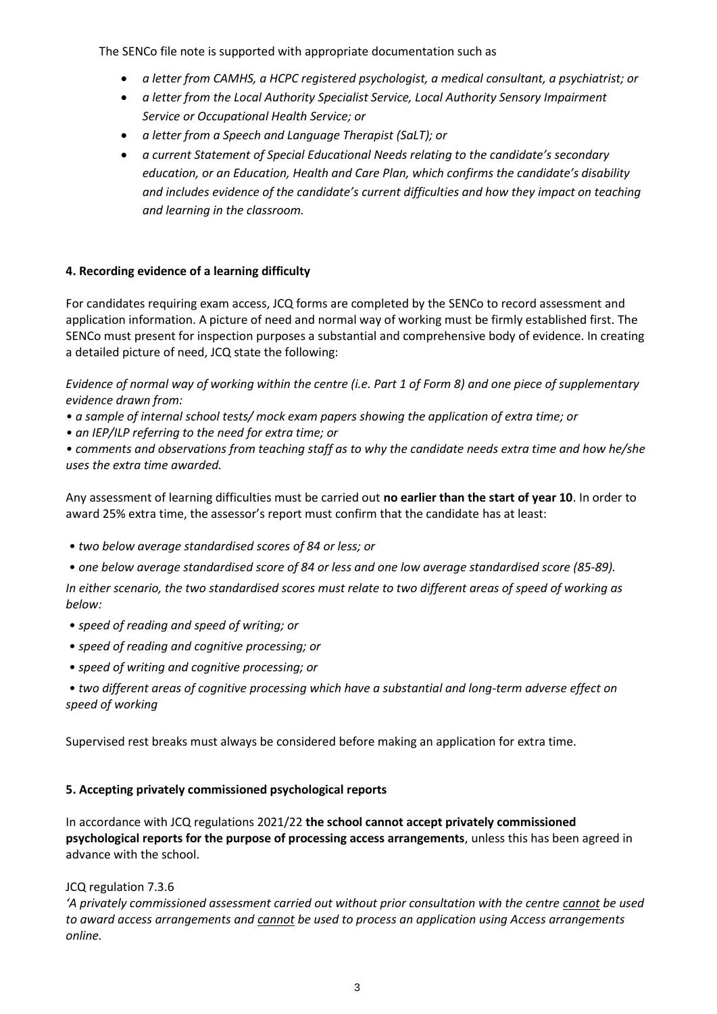The SENCo file note is supported with appropriate documentation such as

- *a letter from CAMHS, a HCPC registered psychologist, a medical consultant, a psychiatrist; or*
- *a letter from the Local Authority Specialist Service, Local Authority Sensory Impairment Service or Occupational Health Service; or*
- *a letter from a Speech and Language Therapist (SaLT); or*
- *a current Statement of Special Educational Needs relating to the candidate's secondary education, or an Education, Health and Care Plan, which confirms the candidate's disability and includes evidence of the candidate's current difficulties and how they impact on teaching and learning in the classroom.*

#### **4. Recording evidence of a learning difficulty**

For candidates requiring exam access, JCQ forms are completed by the SENCo to record assessment and application information. A picture of need and normal way of working must be firmly established first. The SENCo must present for inspection purposes a substantial and comprehensive body of evidence. In creating a detailed picture of need, JCQ state the following:

*Evidence of normal way of working within the centre (i.e. Part 1 of Form 8) and one piece of supplementary evidence drawn from:* 

- *a sample of internal school tests/ mock exam papers showing the application of extra time; or*
- *an IEP/ILP referring to the need for extra time; or*

*• comments and observations from teaching staff as to why the candidate needs extra time and how he/she uses the extra time awarded.*

Any assessment of learning difficulties must be carried out **no earlier than the start of year 10**. In order to award 25% extra time, the assessor's report must confirm that the candidate has at least:

- *two below average standardised scores of 84 or less; or*
- *one below average standardised score of 84 or less and one low average standardised score (85-89).*

*In either scenario, the two standardised scores must relate to two different areas of speed of working as below:*

- *speed of reading and speed of writing; or*
- *speed of reading and cognitive processing; or*
- *speed of writing and cognitive processing; or*

*• two different areas of cognitive processing which have a substantial and long-term adverse effect on speed of working*

Supervised rest breaks must always be considered before making an application for extra time.

### **5. Accepting privately commissioned psychological reports**

In accordance with JCQ regulations 2021/22 **the school cannot accept privately commissioned psychological reports for the purpose of processing access arrangements**, unless this has been agreed in advance with the school.

#### JCQ regulation 7.3.6

*'A privately commissioned assessment carried out without prior consultation with the centre cannot be used to award access arrangements and cannot be used to process an application using Access arrangements online.*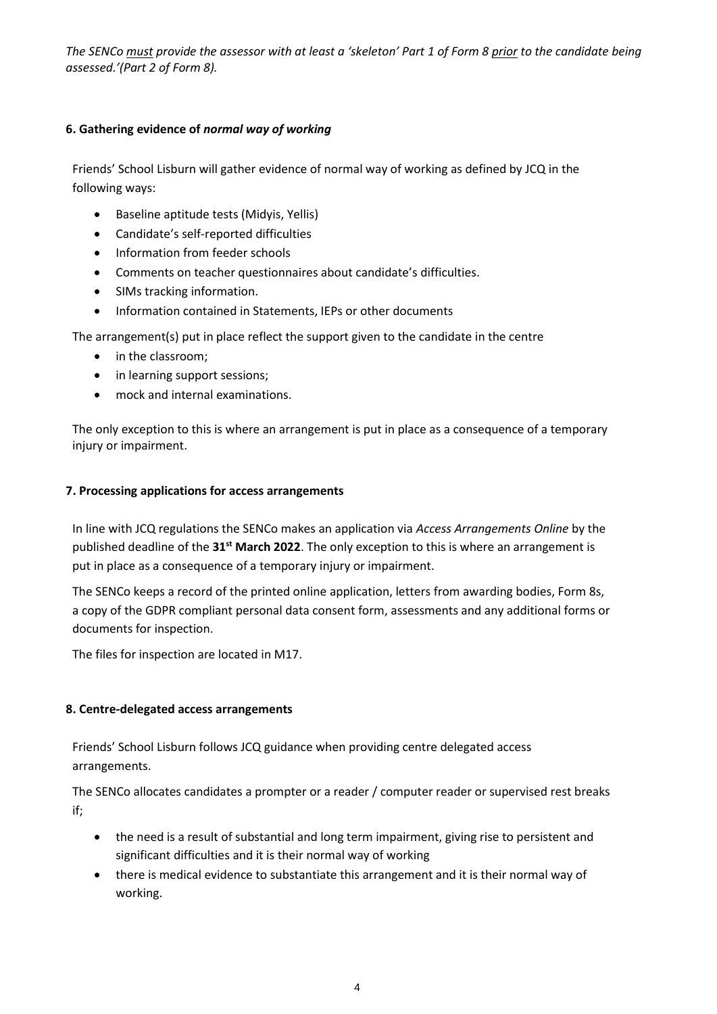*The SENCo must provide the assessor with at least a 'skeleton' Part 1 of Form 8 prior to the candidate being assessed.'(Part 2 of Form 8).*

### **6. Gathering evidence of** *normal way of working*

Friends' School Lisburn will gather evidence of normal way of working as defined by JCQ in the following ways:

- Baseline aptitude tests (Midyis, Yellis)
- Candidate's self-reported difficulties
- Information from feeder schools
- Comments on teacher questionnaires about candidate's difficulties.
- SIMs tracking information.
- Information contained in Statements, IEPs or other documents

The arrangement(s) put in place reflect the support given to the candidate in the centre

- in the classroom;
- in learning support sessions;
- mock and internal examinations.

The only exception to this is where an arrangement is put in place as a consequence of a temporary injury or impairment.

### **7. Processing applications for access arrangements**

In line with JCQ regulations the SENCo makes an application via *Access Arrangements Online* by the published deadline of the **31st March 2022**. The only exception to this is where an arrangement is put in place as a consequence of a temporary injury or impairment.

The SENCo keeps a record of the printed online application, letters from awarding bodies, Form 8s, a copy of the GDPR compliant personal data consent form, assessments and any additional forms or documents for inspection.

The files for inspection are located in M17.

### **8. Centre-delegated access arrangements**

Friends' School Lisburn follows JCQ guidance when providing centre delegated access arrangements.

The SENCo allocates candidates a prompter or a reader / computer reader or supervised rest breaks if;

- the need is a result of substantial and long term impairment, giving rise to persistent and significant difficulties and it is their normal way of working
- there is medical evidence to substantiate this arrangement and it is their normal way of working.